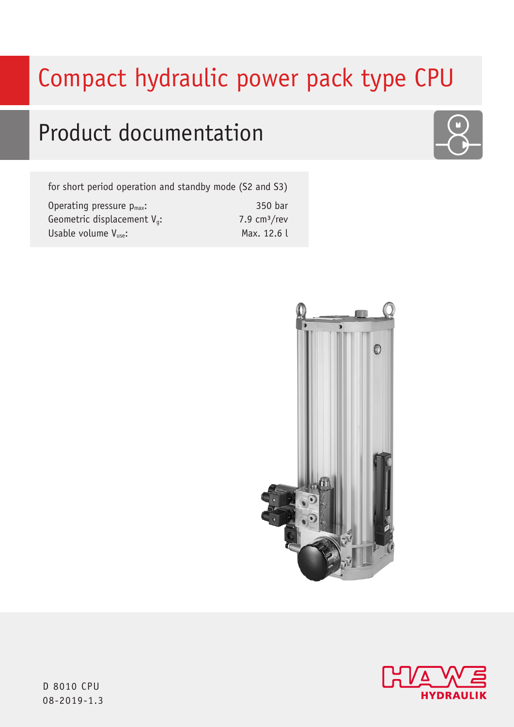# Compact hydraulic power pack type CPU

## Product documentation

for short period operation and standby mode (S2 and S3)

| Operating pressure $p_{max}$ :        | 350 bar       |
|---------------------------------------|---------------|
| Geometric displacement $V_{\alpha}$ : | 7.9 $cm3/rev$ |
| Usable volume $V_{use}:$              | Max. 12.6 l   |







D 8010 CPU 08-2019-1.3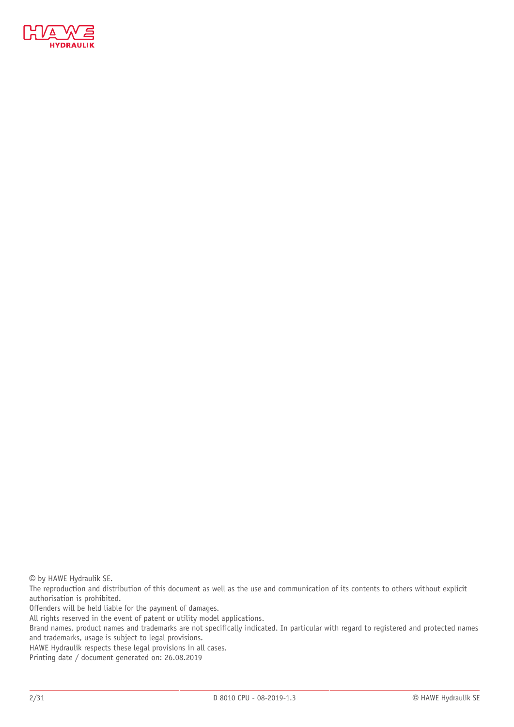

© by HAWE Hydraulik SE.

The reproduction and distribution of this document as well as the use and communication of its contents to others without explicit authorisation is prohibited.

Offenders will be held liable for the payment of damages.

All rights reserved in the event of patent or utility model applications.

Brand names, product names and trademarks are not specifically indicated. In particular with regard to registered and protected names and trademarks, usage is subject to legal provisions.

HAWE Hydraulik respects these legal provisions in all cases.

Printing date / document generated on: 26.08.2019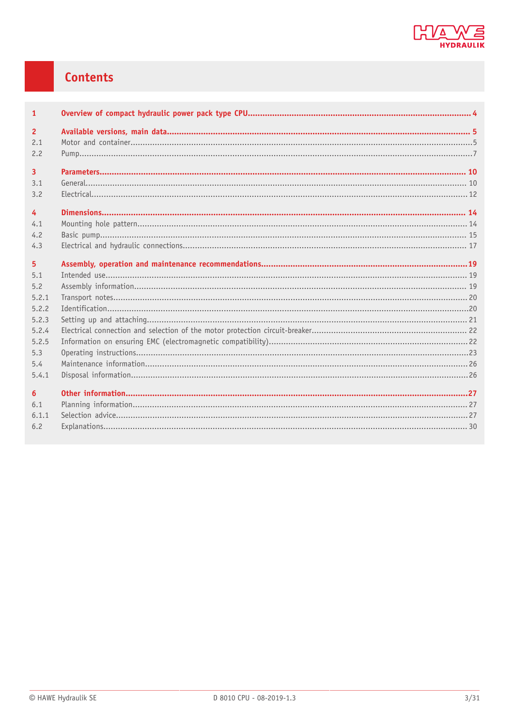

#### **Contents**

| $\mathbf{1}$     |  |
|------------------|--|
| $\overline{2}$   |  |
| 2.1              |  |
| 2.2              |  |
| $\overline{3}$   |  |
| 3.1              |  |
| 3.2              |  |
| $\overline{4}$   |  |
| 4.1              |  |
| 4.2              |  |
| 4.3              |  |
|                  |  |
| 5 <sup>5</sup>   |  |
| 5.1              |  |
| 5.2              |  |
| 5.2.1            |  |
| 5.2.2            |  |
| 5.2.3            |  |
| 5.2.4            |  |
| 5.2.5            |  |
| 5.3              |  |
| 5.4              |  |
| 5.4.1            |  |
| $6 \overline{6}$ |  |
| 6.1              |  |
| 6.1.1            |  |
| 6.2              |  |
|                  |  |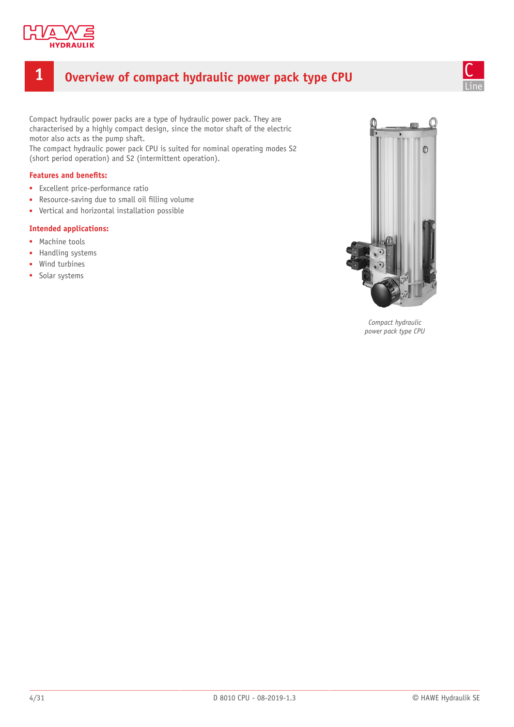

#### <span id="page-3-0"></span>**1 Overview of compact hydraulic power pack type CPU**



Compact hydraulic power packs are a type of hydraulic power pack. They are characterised by a highly compact design, since the motor shaft of the electric motor also acts as the pump shaft.

The compact hydraulic power pack CPU is suited for nominal operating modes S2 (short period operation) and S2 (intermittent operation).

#### **Features and benets:**

- Excellent price-performance ratio
- Resource-saving due to small oil filling volume
- Vertical and horizontal installation possible

#### **Intended applications:**

- Machine tools
- Handling systems
- Wind turbines
- Solar systems



*Compact hydraulic power pack type CPU*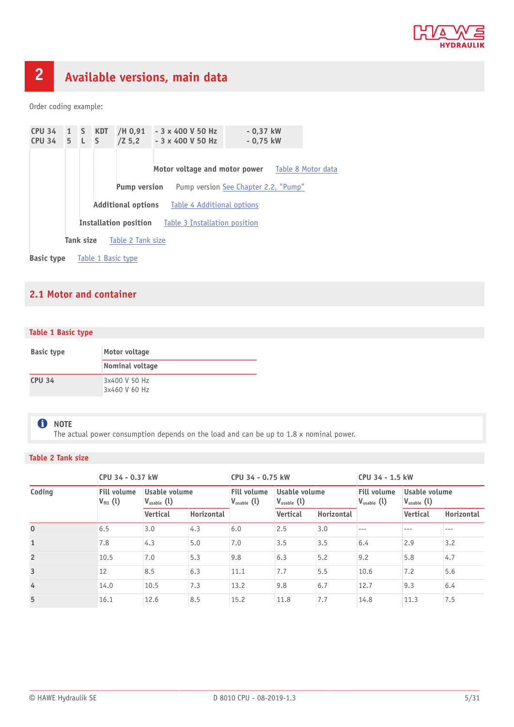

## <span id="page-4-0"></span>**2 Available versions, main data**

Order coding example:

| CPU 34 1 S KDT<br>CPU 34 5 L S |                                                         |           |  | /H 0,91<br>$/2$ 5,2 |  | $-3 \times 400$ V 50 Hz<br>$-3 \times 400$ V 50 Hz         | $-0.37$ kW<br>$-0.75$ kW             |                                                  |
|--------------------------------|---------------------------------------------------------|-----------|--|---------------------|--|------------------------------------------------------------|--------------------------------------|--------------------------------------------------|
|                                |                                                         |           |  |                     |  |                                                            |                                      | Motor voltage and motor power Table 8 Motor data |
|                                |                                                         |           |  | <b>Pump version</b> |  |                                                            | Pump version See Chapter 2.2, "Pump" |                                                  |
|                                | <b>Additional options</b><br>Table 4 Additional options |           |  |                     |  |                                                            |                                      |                                                  |
|                                |                                                         |           |  |                     |  | <b>Installation position</b> Table 3 Installation position |                                      |                                                  |
|                                |                                                         | Tank size |  | Table 2 Tank size   |  |                                                            |                                      |                                                  |
| <b>Basic type</b>              |                                                         |           |  | Table 1 Basic type  |  |                                                            |                                      |                                                  |

#### <span id="page-4-1"></span>**2.1 Motor and container**

#### <span id="page-4-3"></span>**Table 1 Basic type**

| <b>Basic type</b> | Motor voltage                  |
|-------------------|--------------------------------|
|                   | Nominal voltage                |
| <b>CPU 34</b>     | 3x400 V 50 Hz<br>3x460 V 60 Hz |

#### **f** NOTE

The actual power consumption depends on the load and can be up to 1.8 x nominal power.

#### <span id="page-4-2"></span>**Table 2 Tank size**

| CPU 34 - 0.37 kW |                                            |                                         | CPU 34 - 0.75 kW |                                                                                         |                 | CPU 34 - 1.5 kW |                                              |                                         |            |
|------------------|--------------------------------------------|-----------------------------------------|------------------|-----------------------------------------------------------------------------------------|-----------------|-----------------|----------------------------------------------|-----------------------------------------|------------|
| Coding           | <b>Fill volume</b><br>$V_{\text{fill}}(l)$ | Usable volume<br>$V_{\text{usable}}(l)$ |                  | Usable volume<br><b>Fill volume</b><br>$V_{\text{usable}}(l)$<br>$V_{\text{usable}}(l)$ |                 |                 | <b>Fill volume</b><br>$V_{\text{usable}}(l)$ | Usable volume<br>$V_{\text{usable}}(l)$ |            |
|                  |                                            | <b>Vertical</b>                         | Horizontal       |                                                                                         | <b>Vertical</b> | Horizontal      |                                              | <b>Vertical</b>                         | Horizontal |
| $\mathbf{0}$     | 6.5                                        | 3.0                                     | 4.3              | 6.0                                                                                     | 2.5             | 3.0             |                                              | ---                                     | ---        |
| $\mathbf{1}$     | 7.8                                        | 4.3                                     | 5.0              | 7.0                                                                                     | 3.5             | 3.5             | 6.4                                          | 2.9                                     | 3.2        |
| $\overline{2}$   | 10.5                                       | 7.0                                     | 5.3              | 9.8                                                                                     | 6.3             | 5.2             | 9.2                                          | 5.8                                     | 4.7        |
| $\overline{3}$   | 12                                         | 8.5                                     | 6.3              | 11.1                                                                                    | 7.7             | 5.5             | 10.6                                         | 7.2                                     | 5.6        |
| $\overline{4}$   | 14.0                                       | 10.5                                    | 7.3              | 13.2                                                                                    | 9.8             | 6.7             | 12.7                                         | 9.3                                     | 6.4        |
| 5                | 16.1                                       | 12.6                                    | 8.5              | 15.2                                                                                    | 11.8            | 7.7             | 14.8                                         | 11.3                                    | 7.5        |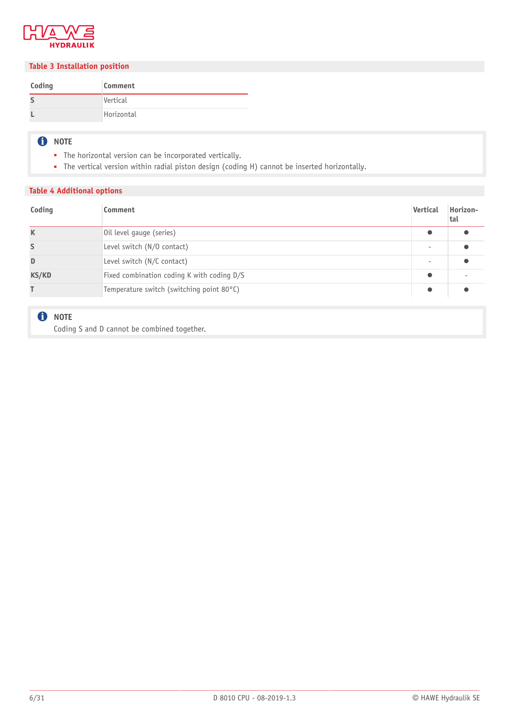

#### <span id="page-5-1"></span>**Table 3 Installation position**

| Coding | Comment    |
|--------|------------|
|        | Vertical   |
|        | Horizontal |

#### **O** NOTE

- The horizontal version can be incorporated vertically.
- The vertical version within radial piston design (coding H) cannot be inserted horizontally.

#### <span id="page-5-0"></span>**Table 4 Additional options**

| Coding | Comment                                    | Vertical  | Horizon-<br>tal |
|--------|--------------------------------------------|-----------|-----------------|
| K      | Oil level gauge (series)                   | $\bullet$ |                 |
| S      | Level switch (N/O contact)                 |           |                 |
| D      | Level switch (N/C contact)                 |           |                 |
| KS/KD  | Fixed combination coding K with coding D/S | $\bullet$ |                 |
|        | Temperature switch (switching point 80°C)  | $\bullet$ |                 |

#### **O** NOTE

Coding S and D cannot be combined together.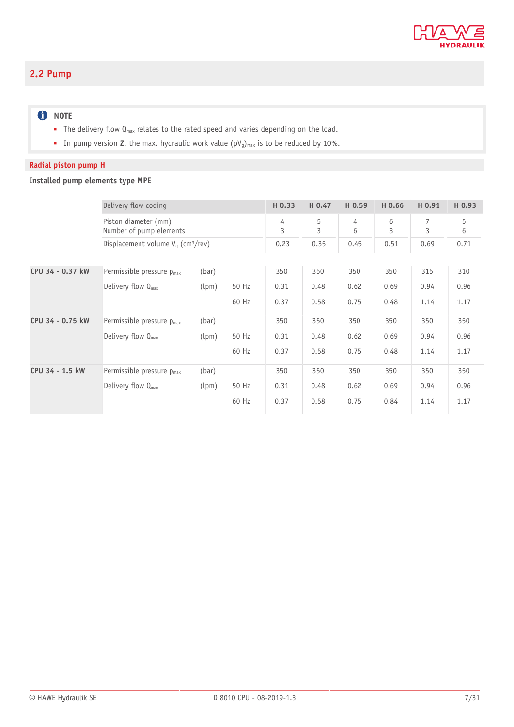

#### <span id="page-6-0"></span>**2.2 Pump**

#### **O** NOTE

- The delivery flow Q<sub>max</sub> relates to the rated speed and varies depending on the load.
- In pump version **Z**, the max. hydraulic work value (pV<sub>g</sub>)<sub>max</sub> is to be reduced by 10%.

#### **Radial piston pump H**

#### **Installed pump elements type MPE**

|                  | Delivery flow coding                             |       |       | H 0.33 | H 0.47 | H 0.59 | H 0.66 | H 0.91 | H 0.93 |
|------------------|--------------------------------------------------|-------|-------|--------|--------|--------|--------|--------|--------|
|                  | Piston diameter (mm)<br>Number of pump elements  |       |       | 4<br>3 | 5<br>3 | 4<br>6 | 6<br>3 | 7<br>3 | 5<br>6 |
|                  | Displacement volume $V_q$ (cm <sup>3</sup> /rev) |       |       | 0.23   | 0.35   | 0.45   | 0.51   | 0.69   | 0.71   |
| CPU 34 - 0.37 kW | Permissible pressure p <sub>max</sub>            | (bar) |       | 350    | 350    | 350    | 350    | 315    | 310    |
|                  | Delivery flow $Q_{\text{max}}$                   | (lpm) | 50 Hz | 0.31   | 0.48   | 0.62   | 0.69   | 0.94   | 0.96   |
|                  |                                                  |       | 60 Hz | 0.37   | 0.58   | 0.75   | 0.48   | 1.14   | 1.17   |
| CPU 34 - 0.75 kW | Permissible pressure p <sub>max</sub>            | (bar) |       | 350    | 350    | 350    | 350    | 350    | 350    |
|                  | Delivery flow $Q_{\text{max}}$                   | (lpm) | 50 Hz | 0.31   | 0.48   | 0.62   | 0.69   | 0.94   | 0.96   |
|                  |                                                  |       | 60 Hz | 0.37   | 0.58   | 0.75   | 0.48   | 1.14   | 1.17   |
| CPU 34 - 1.5 kW  | Permissible pressure $p_{max}$                   | (bar) |       | 350    | 350    | 350    | 350    | 350    | 350    |
|                  | Delivery flow $Q_{\text{max}}$                   | (lpm) | 50 Hz | 0.31   | 0.48   | 0.62   | 0.69   | 0.94   | 0.96   |
|                  |                                                  |       | 60 Hz | 0.37   | 0.58   | 0.75   | 0.84   | 1.14   | 1.17   |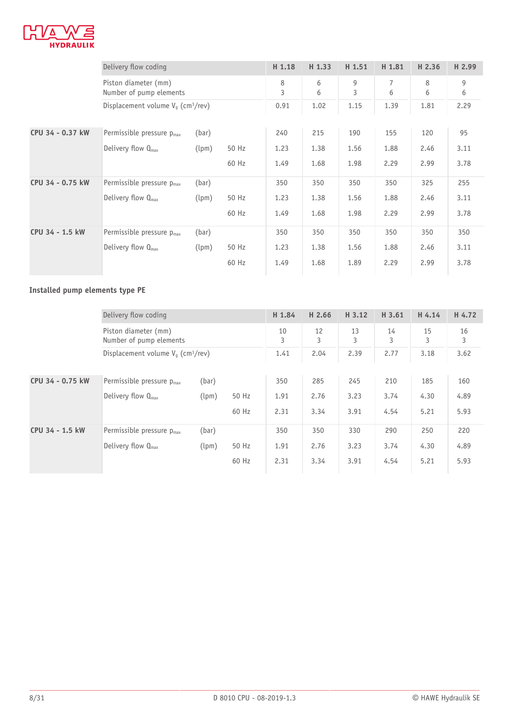

|                  | Delivery flow coding                             |       |       | H 1.18 | H <sub>1.33</sub> | H 1.51 | H 1.81 | H <sub>2.36</sub> | H 2.99 |
|------------------|--------------------------------------------------|-------|-------|--------|-------------------|--------|--------|-------------------|--------|
|                  | Piston diameter (mm)<br>Number of pump elements  |       |       | 8<br>3 | 6<br>6            | 9<br>3 | 7<br>6 | 8<br>6            | 9<br>6 |
|                  | Displacement volume $V_a$ (cm <sup>3</sup> /rev) |       |       | 0.91   | 1.02              | 1.15   | 1.39   | 1.81              | 2.29   |
| CPU 34 - 0.37 kW | Permissible pressure $p_{max}$                   | (bar) |       | 240    | 215               | 190    | 155    | 120               | 95     |
|                  | Delivery flow $Q_{\text{max}}$                   | (lpm) | 50 Hz | 1.23   | 1.38              | 1.56   | 1.88   | 2.46              | 3.11   |
|                  |                                                  |       | 60 Hz | 1.49   | 1.68              | 1.98   | 2.29   | 2.99              | 3.78   |
| CPU 34 - 0.75 kW | Permissible pressure $p_{max}$                   | (bar) |       | 350    | 350               | 350    | 350    | 325               | 255    |
|                  | Delivery flow $Q_{max}$                          | (lpm) | 50 Hz | 1.23   | 1.38              | 1.56   | 1.88   | 2.46              | 3.11   |
|                  |                                                  |       | 60 Hz | 1.49   | 1.68              | 1.98   | 2.29   | 2.99              | 3.78   |
| CPU 34 - 1.5 kW  | Permissible pressure $p_{max}$                   | (bar) |       | 350    | 350               | 350    | 350    | 350               | 350    |
|                  | Delivery flow $Q_{\text{max}}$                   | (lpm) | 50 Hz | 1.23   | 1.38              | 1.56   | 1.88   | 2.46              | 3.11   |
|                  |                                                  |       | 60 Hz | 1.49   | 1.68              | 1.89   | 2.29   | 2.99              | 3.78   |

#### **Installed pump elements type PE**

|                  | Delivery flow coding                             |       |       |         | H 2.66  | H 3.12  | H 3.61  | H 4.14  | H 4.72  |
|------------------|--------------------------------------------------|-------|-------|---------|---------|---------|---------|---------|---------|
|                  | Piston diameter (mm)<br>Number of pump elements  |       |       | 10<br>3 | 12<br>3 | 13<br>3 | 14<br>3 | 15<br>3 | 16<br>3 |
|                  | Displacement volume $V_a$ (cm <sup>3</sup> /rev) |       |       | 1.41    | 2.04    | 2.39    | 2.77    | 3.18    | 3.62    |
| CPU 34 - 0.75 kW | Permissible pressure $p_{max}$                   | (bar) |       | 350     | 285     | 245     | 210     | 185     | 160     |
|                  | Delivery flow $Q_{\text{max}}$                   | (lpm) | 50 Hz | 1.91    | 2.76    | 3.23    | 3.74    | 4.30    | 4.89    |
|                  |                                                  |       | 60 Hz | 2.31    | 3.34    | 3.91    | 4.54    | 5.21    | 5.93    |
| CPU 34 - 1.5 kW  | Permissible pressure p <sub>max</sub>            | (bar) |       | 350     | 350     | 330     | 290     | 250     | 220     |
|                  | Delivery flow $Q_{\text{max}}$                   | (lpm) | 50 Hz | 1.91    | 2.76    | 3.23    | 3.74    | 4.30    | 4.89    |
|                  |                                                  |       | 60 Hz | 2.31    | 3.34    | 3.91    | 4.54    | 5.21    | 5.93    |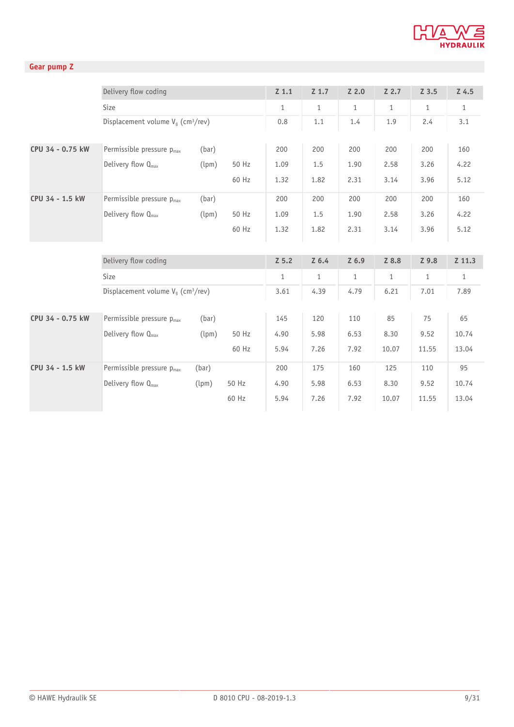

#### **Gear pump Z**

|                  | Delivery flow coding                             |       |       | $Z$ 1.1      | $Z$ 1.7      | $Z$ 2.0      | $Z$ 2.7      | $Z$ 3.5      | $Z$ 4.5      |
|------------------|--------------------------------------------------|-------|-------|--------------|--------------|--------------|--------------|--------------|--------------|
|                  | Size                                             |       |       | $\mathbf{1}$ | $\mathbf{1}$ | $\mathbf{1}$ | $\mathbf{1}$ | $\mathbf{1}$ | $\mathbf{1}$ |
|                  | Displacement volume $V_q$ (cm <sup>3</sup> /rev) |       |       | 0.8          | 1.1          | 1.4          | 1.9          | 2.4          | 3.1          |
|                  |                                                  |       |       |              |              |              |              |              |              |
| CPU 34 - 0.75 kW | Permissible pressure p <sub>max</sub>            | (bar) |       | 200          | 200          | 200          | 200          | 200          | 160          |
|                  | Delivery flow $Q_{\text{max}}$                   | (lpm) | 50 Hz | 1.09         | 1.5          | 1.90         | 2.58         | 3.26         | 4.22         |
|                  |                                                  |       | 60 Hz | 1.32         | 1.82         | 2.31         | 3.14         | 3.96         | 5.12         |
| CPU 34 - 1.5 kW  | Permissible pressure $p_{max}$                   | (bar) |       | 200          | 200          | 200          | 200          | 200          | 160          |
|                  | Delivery flow Q <sub>max</sub>                   | (lpm) | 50 Hz | 1.09         | 1.5          | 1.90         | 2.58         | 3.26         | 4.22         |
|                  |                                                  |       | 60 Hz | 1.32         | 1.82         | 2.31         | 3.14         | 3.96         | 5.12         |
|                  |                                                  |       |       |              |              |              |              |              |              |
|                  | Delivery flow coding                             |       |       | $Z$ 5.2      | $Z$ 6.4      | $Z$ 6.9      | Z 8.8        | Z 9.8        | Z 11.3       |
|                  | Size                                             |       |       | $\mathbf{1}$ | $\mathbf{1}$ | $\mathbf{1}$ | $\mathbf{1}$ | $\mathbf{1}$ | $\mathbf{1}$ |
|                  | Displacement volume $V_a$ (cm <sup>3</sup> /rev) |       |       | 3.61         | 4.39         | 4.79         | 6.21         | 7.01         | 7.89         |
| CPU 34 - 0.75 kW | Permissible pressure p <sub>max</sub>            | (bar) |       | 145          | 120          | 110          | 85           | 75           | 65           |
|                  | Delivery flow $Q_{\text{max}}$                   | (lpm) | 50 Hz | 4.90         | 5.98         | 6.53         | 8.30         | 9.52         | 10.74        |
|                  |                                                  |       | 60 Hz | 5.94         | 7.26         | 7.92         | 10.07        | 11.55        | 13.04        |
| CPU 34 - 1.5 kW  | Permissible pressure p <sub>max</sub>            | (bar) |       | 200          | 175          | 160          | 125          | 110          | 95           |
|                  | Delivery flow Q <sub>max</sub>                   | (lpm) | 50 Hz | 4.90         | 5.98         | 6.53         | 8.30         | 9.52         | 10.74        |
|                  |                                                  |       | 60 Hz | 5.94         | 7.26         | 7.92         | 10.07        | 11.55        | 13.04        |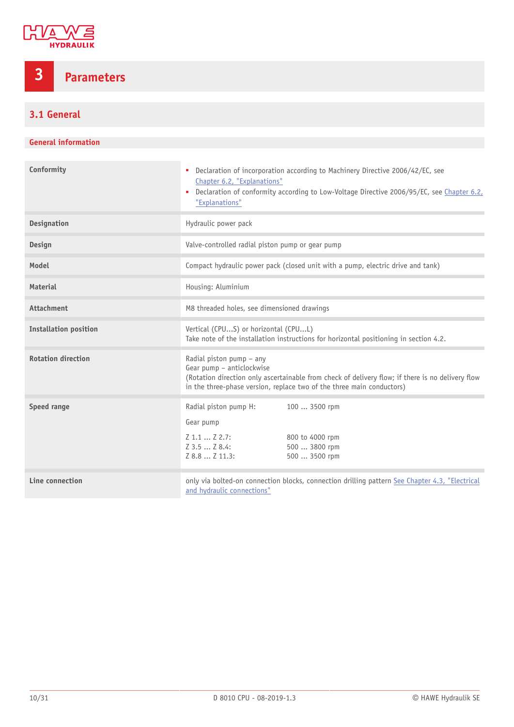

### <span id="page-9-0"></span>**3 Parameters**

#### <span id="page-9-1"></span>**3.1 General**

#### **General information**

| Conformity                   | Declaration of incorporation according to Machinery Directive 2006/42/EC, see<br>٠<br>Chapter 6.2, "Explanations"<br>Declaration of conformity according to Low-Voltage Directive 2006/95/EC, see Chapter 6.2,<br>٠<br>"Explanations" |  |  |  |  |  |  |
|------------------------------|---------------------------------------------------------------------------------------------------------------------------------------------------------------------------------------------------------------------------------------|--|--|--|--|--|--|
| <b>Designation</b>           | Hydraulic power pack                                                                                                                                                                                                                  |  |  |  |  |  |  |
| <b>Design</b>                | Valve-controlled radial piston pump or gear pump                                                                                                                                                                                      |  |  |  |  |  |  |
| Model                        | Compact hydraulic power pack (closed unit with a pump, electric drive and tank)                                                                                                                                                       |  |  |  |  |  |  |
| <b>Material</b>              | Housing: Aluminium                                                                                                                                                                                                                    |  |  |  |  |  |  |
| <b>Attachment</b>            | M8 threaded holes, see dimensioned drawings                                                                                                                                                                                           |  |  |  |  |  |  |
| <b>Installation position</b> | Vertical (CPUS) or horizontal (CPUL)<br>Take note of the installation instructions for horizontal positioning in section 4.2.                                                                                                         |  |  |  |  |  |  |
| <b>Rotation direction</b>    | Radial piston pump - any<br>Gear pump - anticlockwise<br>(Rotation direction only ascertainable from check of delivery flow; if there is no delivery flow<br>in the three-phase version, replace two of the three main conductors)    |  |  |  |  |  |  |
| Speed range                  | Radial piston pump H:<br>100  3500 rpm<br>Gear pump<br>Z 1.1  Z 2.7:<br>800 to 4000 rpm<br>$Z$ 3.5 $Z$ 8.4:<br>500  3800 rpm<br>Z 8.8  Z 11.3:<br>500  3500 rpm                                                                       |  |  |  |  |  |  |
| Line connection              | only via bolted-on connection blocks, connection drilling pattern See Chapter 4.3, "Electrical<br>and hydraulic connections"                                                                                                          |  |  |  |  |  |  |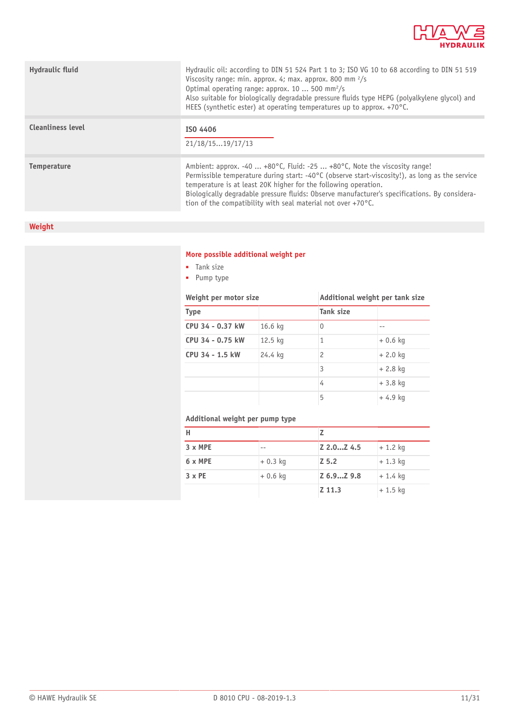

| Hydraulic fluid          | Hydraulic oil: according to DIN 51 524 Part 1 to 3; ISO VG 10 to 68 according to DIN 51 519<br>Viscosity range: min. approx. 4; max. approx. 800 mm $\frac{2}{s}$<br>Optimal operating range: approx. 10  500 mm <sup>2</sup> /s<br>Also suitable for biologically degradable pressure fluids type HEPG (polyalkylene glycol) and<br>HEES (synthetic ester) at operating temperatures up to approx. $+70^{\circ}$ C.                          |
|--------------------------|-----------------------------------------------------------------------------------------------------------------------------------------------------------------------------------------------------------------------------------------------------------------------------------------------------------------------------------------------------------------------------------------------------------------------------------------------|
| <b>Cleanliness level</b> | ISO 4406<br>21/18/1519/17/13                                                                                                                                                                                                                                                                                                                                                                                                                  |
| <b>Temperature</b>       | Ambient: approx. -40  +80 $\degree$ C, Fluid: -25  +80 $\degree$ C, Note the viscosity range!<br>Permissible temperature during start: -40°C (observe start-viscosity!), as long as the service<br>temperature is at least 20K higher for the following operation.<br>Biologically degradable pressure fluids: Observe manufacturer's specifications. By considera-<br>tion of the compatibility with seal material not over $+70^{\circ}$ C. |

#### **Weight**

#### **More possible additional weight per**

- Tank size
- Pump type

#### **Weight per motor size Additional weight per tank size Type Tank size CPU 34 - 0.37 kW** 16.6 kg 0 --**CPU 34 - 0.75 kW** 12.5 kg 1 + 0.6 kg **CPU 34 - 1.5 kW** 24.4 kg 2 + 2.0 kg  $3 + 2.8$  kg  $4 + 3.8$  kg  $-4.9 \text{ kg}$

#### **Additional weight per pump type**

| н              |           |            |            |
|----------------|-----------|------------|------------|
| $3 \times MPE$ | --        | Z 2.0Z 4.5 | $+ 1.2$ kg |
| 6 x MPE        | $+0.3$ kg | $Z$ 5.2    | $+1.3$ kg  |
| $3 \times PE$  | $+0.6$ kg | Z 6.9Z 9.8 | $+1.4$ kg  |
|                |           | Z 11.3     | $+1.5$ kg  |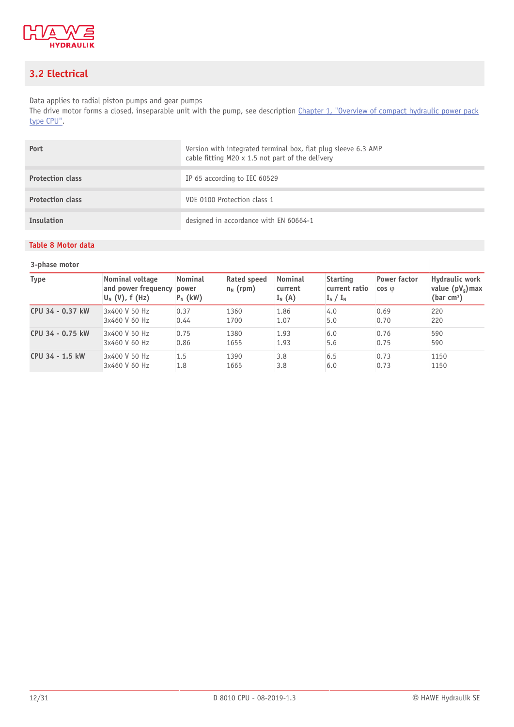

#### <span id="page-11-0"></span>**3.2 Electrical**

Data applies to radial piston pumps and gear pumps

The drive motor forms a closed, inseparable unit with the pump, see description [Chapter 1,](#page-3-0) "Overview of compact hydraulic power pack [type CPU"](#page-3-0).

| Port                    | Version with integrated terminal box, flat plug sleeve 6.3 AMP<br>cable fitting M20 x 1.5 not part of the delivery |
|-------------------------|--------------------------------------------------------------------------------------------------------------------|
| <b>Protection class</b> | IP 65 according to IEC 60529                                                                                       |
| <b>Protection class</b> | VDE 0100 Protection class 1                                                                                        |
| Insulation              | designed in accordance with EN 60664-1                                                                             |

#### **3-phase motor**

<span id="page-11-1"></span>**Table 8 Motor data**

| - - - - - - - - - - - - - |                                                                       |                              |                            |                                       |                                                 |                                       |                                                      |
|---------------------------|-----------------------------------------------------------------------|------------------------------|----------------------------|---------------------------------------|-------------------------------------------------|---------------------------------------|------------------------------------------------------|
| <b>Type</b>               | Nominal voltage<br>and power frequency power<br>$ U_{N} (V)$ , f (Hz) | <b>Nominal</b><br>$P_N$ (kW) | Rated speed<br>$n_N$ (rpm) | <b>Nominal</b><br>current<br>$I_N(A)$ | <b>Starting</b><br>current ratio<br>$I_A / I_N$ | <b>Power factor</b><br>$\cos \varphi$ | Hydraulic work<br>value $(pV_q)$ max<br>(bar $cm3$ ) |
| CPU 34 - 0.37 kW          | 3x400 V 50 Hz                                                         | 0.37                         | 1360                       | 1.86                                  | 4.0                                             | 0.69                                  | 220                                                  |
|                           | 3x460 V 60 Hz                                                         | 0.44                         | 1700                       | 1.07                                  | 5.0                                             | 0.70                                  | 220                                                  |
| CPU 34 - 0.75 kW          | 3x400 V 50 Hz                                                         | 0.75                         | 1380                       | 1.93                                  | 6.0                                             | 0.76                                  | 590                                                  |
|                           | 3x460 V 60 Hz                                                         | 0.86                         | 1655                       | 1.93                                  | 5.6                                             | 0.75                                  | 590                                                  |
| CPU 34 - 1.5 kW           | 3x400 V 50 Hz                                                         | 1.5                          | 1390                       | 3.8                                   | 6.5                                             | 0.73                                  | 1150                                                 |
|                           | 3x460 V 60 Hz                                                         | 1.8                          | 1665                       | 3.8                                   | 6.0                                             | 0.73                                  | 1150                                                 |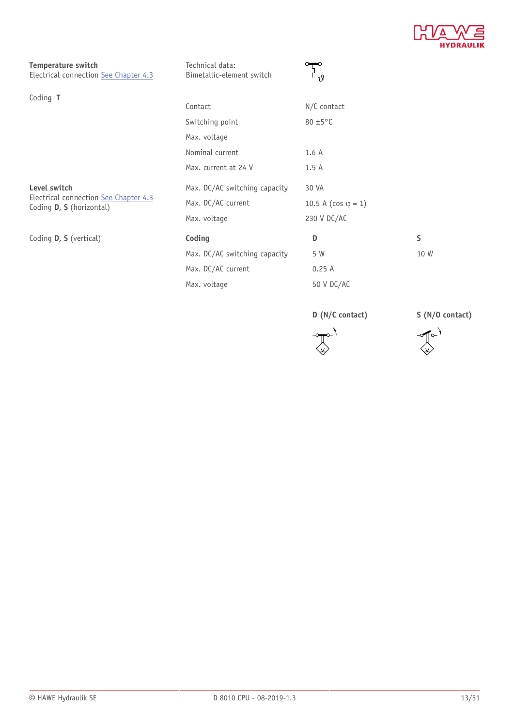

**Temperature switch** Electrical connection [See Chapter 4.3](#page-16-0)

| Technical data:           |  |
|---------------------------|--|
| Bimetallic-element switch |  |



| Coding T                                                          |                                        |                               |         |
|-------------------------------------------------------------------|----------------------------------------|-------------------------------|---------|
|                                                                   | Contact                                | $N/C$ contact                 |         |
|                                                                   | Switching point                        | 80 ±5°C                       |         |
|                                                                   | Max. voltage                           |                               |         |
|                                                                   | Nominal current                        | 1.6A                          |         |
|                                                                   | Max. current at 24 V                   | 1.5A                          |         |
| Level switch                                                      | Max. DC/AC switching capacity<br>30 VA |                               |         |
| Electrical connection See Chapter 4.3<br>Coding D, S (horizontal) | Max. DC/AC current                     | 10.5 A ( $\cos \varphi = 1$ ) |         |
|                                                                   | Max. voltage                           | 230 V DC/AC                   |         |
| Coding D, S (vertical)                                            | Coding                                 | D                             | $\sf S$ |
|                                                                   | Max. DC/AC switching capacity          | 5 W                           | 10 W    |
|                                                                   | Max. DC/AC current                     | 0.25A                         |         |
|                                                                   | Max. voltage                           | 50 V DC/AC                    |         |

**D (N/C contact) S (N/O contact)**



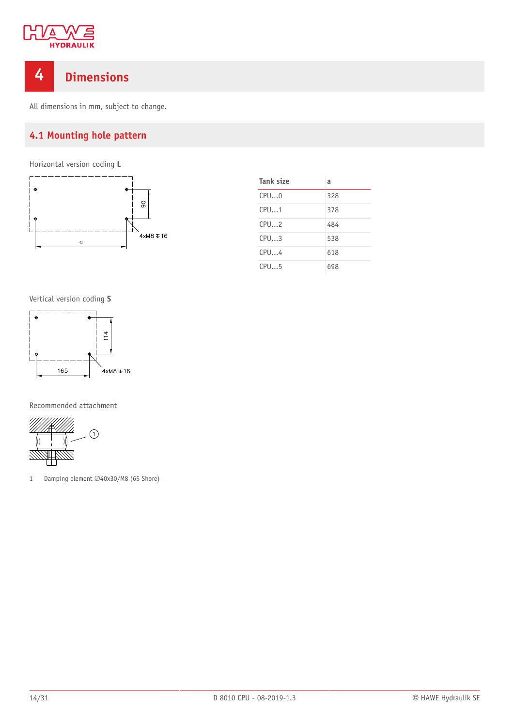

#### <span id="page-13-0"></span>**4 Dimensions**

<span id="page-13-1"></span>All dimensions in mm, subject to change.

#### **4.1 Mounting hole pattern**

Horizontal version coding **L**



| Tank size | a   |
|-----------|-----|
| CPU0      | 328 |
| CPU1      | 378 |
| CPU2      | 484 |
| CPU3      | 538 |
| CPU4      | 618 |
| CPU5      | 698 |

Vertical version coding **S**



Recommended attachment



1 Damping element  $\varnothing$ 40x30/M8 (65 Shore)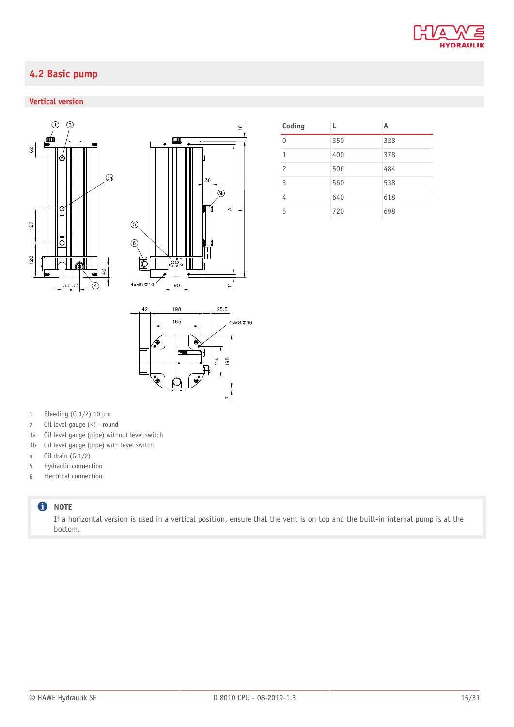

#### <span id="page-14-0"></span>**4.2 Basic pump**

#### **Vertical version**





| Coding         | L   | А   |
|----------------|-----|-----|
| $\cap$         | 350 | 328 |
| $\overline{1}$ | 400 | 378 |
| $\overline{c}$ | 506 | 484 |
| $\overline{3}$ | 560 | 538 |
| 4              | 640 | 618 |
| 5              | 720 | 698 |



- 1 Bleeding (G  $1/2$ ) 10  $\mu$ m
- 2 Oil level gauge (K) round
- 3a Oil level gauge (pipe) without level switch
- 3b Oil level gauge (pipe) with level switch
- 4 Oil drain (G 1/2)
- 5 Hydraulic connection
- 6 Electrical connection

#### **O** NOTE

If a horizontal version is used in a vertical position, ensure that the vent is on top and the built-in internal pump is at the bottom.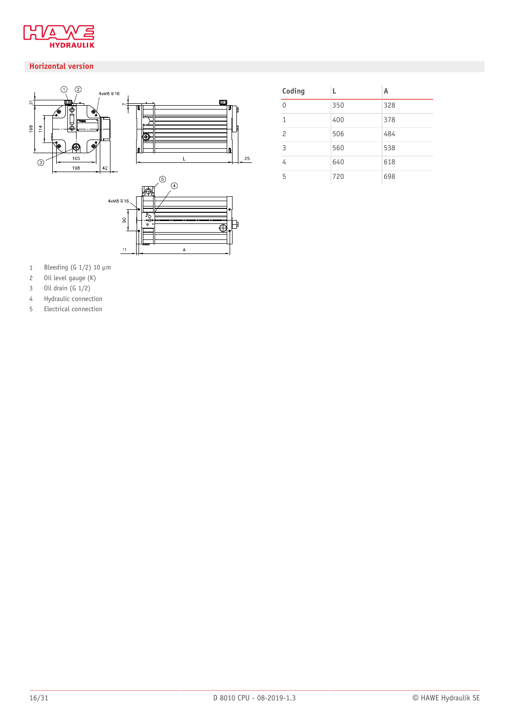

#### **Horizontal version**



| Coding         | L   | А   |
|----------------|-----|-----|
| $\Omega$       | 350 | 328 |
| $\mathbf{1}$   | 400 | 378 |
| $\overline{c}$ | 506 | 484 |
| $\overline{3}$ | 560 | 538 |
| $\overline{4}$ | 640 | 618 |
| 5              | 720 | 698 |

- 1 Bleeding (G  $1/2$ ) 10  $\mu$ m
- Oil level gauge (K)
- Oil drain (G 1/2)
- Hydraulic connection
- Electrical connection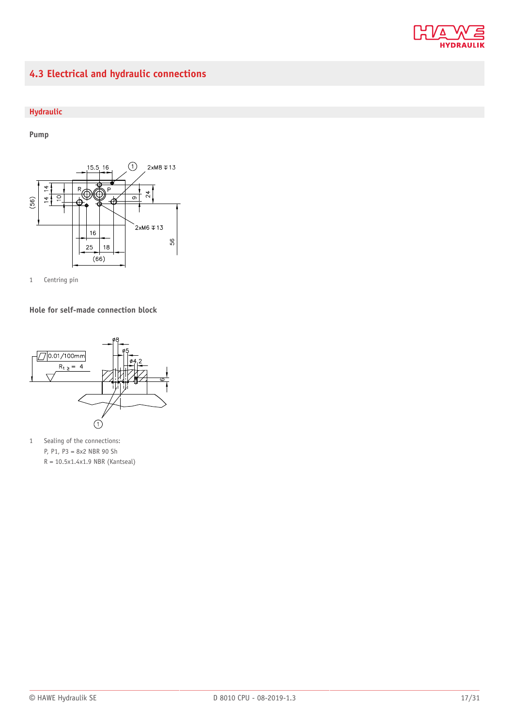

#### <span id="page-16-0"></span>**4.3 Electrical and hydraulic connections**

#### **Hydraulic**

**Pump**





**Hole for self-made connection block**



1 Sealing of the connections: P, P1, P3 = 8x2 NBR 90 Sh  $R = 10.5 \times 1.4 \times 1.9$  NBR (Kantseal)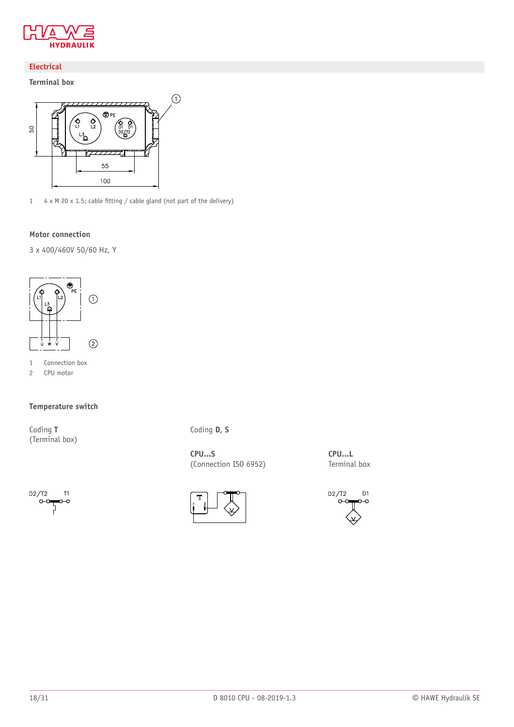

#### **Electrical**

**Terminal box**



1 4 x M 20 x 1.5; cable fitting / cable gland (not part of the delivery)

#### **Motor connection**

3 x 400/460V 50/60 Hz, Y



- 1 Connection box
- 2 CPU motor

#### **Temperature switch**

Coding **T** (Terminal box)



**CPU...S** (Connection ISO 6952)





**CPU...L** Terminal box

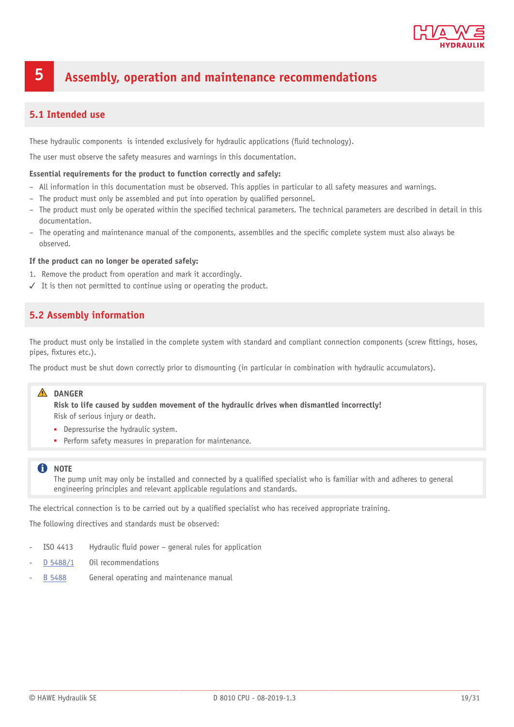

#### <span id="page-18-0"></span>**5 Assembly, operation and maintenance recommendations**

#### <span id="page-18-1"></span>**5.1 Intended use**

These hydraulic components is intended exclusively for hydraulic applications (fluid technology).

The user must observe the safety measures and warnings in this documentation.

#### **Essential requirements for the product to function correctly and safely:**

- All information in this documentation must be observed. This applies in particular to all safety measures and warnings.
- The product must only be assembled and put into operation by qualified personnel.
- The product must only be operated within the specified technical parameters. The technical parameters are described in detail in this documentation.
- The operating and maintenance manual of the components, assemblies and the specific complete system must also always be observed.

#### **If the product can no longer be operated safely:**

- 1. Remove the product from operation and mark it accordingly.
- <span id="page-18-2"></span>✓ It is then not permitted to continue using or operating the product.

#### **5.2 Assembly information**

The product must only be installed in the complete system with standard and compliant connection components (screw fittings, hoses, pipes, fixtures etc.).

The product must be shut down correctly prior to dismounting (in particular in combination with hydraulic accumulators).

#### **DANGER**

**Risk to life caused by sudden movement of the hydraulic drives when dismantled incorrectly!** Risk of serious injury or death.

- Depressurise the hydraulic system.
- Perform safety measures in preparation for maintenance.

#### **f** NOTE

The pump unit may only be installed and connected by a qualified specialist who is familiar with and adheres to general engineering principles and relevant applicable regulations and standards.

The electrical connection is to be carried out by a qualified specialist who has received appropriate training.

The following directives and standards must be observed:

- ISO 4413 Hydraulic fluid power general rules for application
- [D 5488/1](http://www.hawe.de/fileadmin/content/typeman/catalog/Pdf/5/4/D54881-en.pdf) Oil recommendations
- [B 5488](http://www.hawe.de/fileadmin/content/typeman/catalog/Pdf/5/4/B5488-en.pdf) General operating and maintenance manual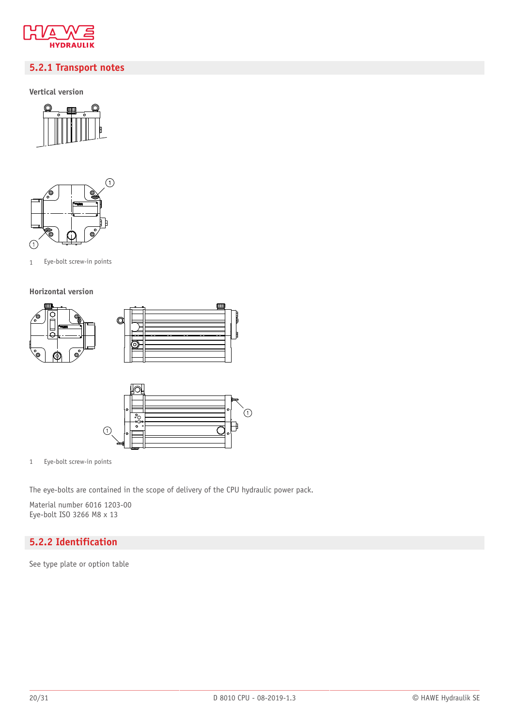

#### <span id="page-19-0"></span>**5.2.1 Transport notes**

**Vertical version**





1 Eye-bolt screw-in points

#### **Horizontal version**





 $\Box$ 

1 Eye-bolt screw-in points

The eye-bolts are contained in the scope of delivery of the CPU hydraulic power pack.

Material number 6016 1203-00 Eye-bolt ISO 3266 M8 x 13

#### <span id="page-19-1"></span>**5.2.2 Identification**

See type plate or option table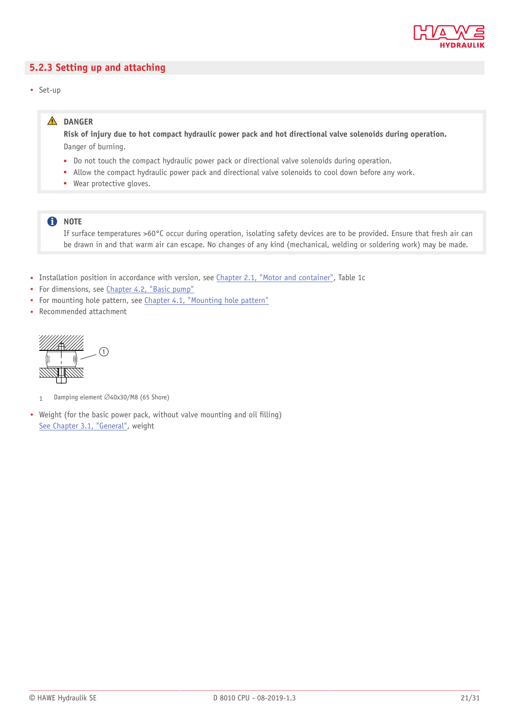

#### <span id="page-20-0"></span>**5.2.3 Setting up and attaching**

• Set-up

#### **DANGER**

Risk of injury due to hot compact hydraulic power pack and hot directional valve solenoids during operation. Danger of burning.

- Do not touch the compact hydraulic power pack or directional valve solenoids during operation.
- Allow the compact hydraulic power pack and directional valve solenoids to cool down before any work.
- Wear protective gloves.

#### **f** NOTE

If surface temperatures >60°C occur during operation, isolating safety devices are to be provided. Ensure that fresh air can be drawn in and that warm air can escape. No changes of any kind (mechanical, welding or soldering work) may be made.

- Installation position in accordance with version, see [Chapter 2.1,](#page-4-1) "Motor and container", Table 1c
- For dimensions, see [Chapter 4.2,](#page-14-0) "Basic pump"
- For mounting hole pattern, see [Chapter 4.1,](#page-13-1) "Mounting hole pattern"
- Recommended attachment



1 Damping element Ø40x30/M8 (65 Shore)

• Weight (for the basic power pack, without valve mounting and oil filling) [See Chapter 3.1,](#page-9-1) "General", weight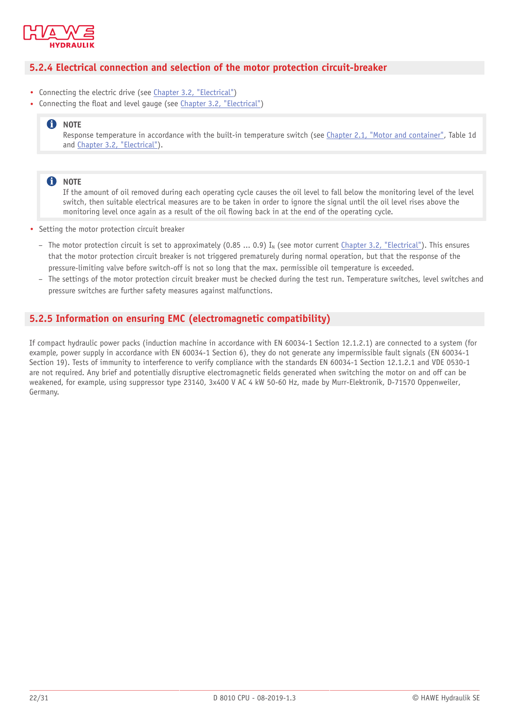

#### <span id="page-21-0"></span>**5.2.4 Electrical connection and selection of the motor protection circuit-breaker**

- Connecting the electric drive (see [Chapter 3.2, "Electrical"\)](#page-11-0)
- Connecting the float and level gauge (see [Chapter 3.2, "Electrical"](#page-11-0))

#### **n** NOTE

Response temperature in accordance with the built-in temperature switch (see [Chapter 2.1,](#page-4-1) "Motor and container", Table 1d and [Chapter 3.2, "Electrical"\)](#page-11-0).

#### **O** NOTE

If the amount of oil removed during each operating cycle causes the oil level to fall below the monitoring level of the level switch, then suitable electrical measures are to be taken in order to ignore the signal until the oil level rises above the monitoring level once again as a result of the oil flowing back in at the end of the operating cycle.

- Setting the motor protection circuit breaker
	- The motor protection circuit is set to approximately (0.85 ... 0.9) I<sub>N</sub> (see motor current [Chapter 3.2, "Electrical"](#page-11-0)). This ensures that the motor protection circuit breaker is not triggered prematurely during normal operation, but that the response of the pressure-limiting valve before switch-off is not so long that the max. permissible oil temperature is exceeded.
	- The settings of the motor protection circuit breaker must be checked during the test run. Temperature switches, level switches and pressure switches are further safety measures against malfunctions.

#### <span id="page-21-1"></span>**5.2.5 Information on ensuring EMC (electromagnetic compatibility)**

If compact hydraulic power packs (induction machine in accordance with EN 60034-1 Section 12.1.2.1) are connected to a system (for example, power supply in accordance with EN 60034-1 Section 6), they do not generate any impermissible fault signals (EN 60034-1 Section 19). Tests of immunity to interference to verify compliance with the standards EN 60034-1 Section 12.1.2.1 and VDE 0530-1 are not required. Any brief and potentially disruptive electromagnetic fields generated when switching the motor on and off can be weakened, for example, using suppressor type 23140, 3x400 V AC 4 kW 50-60 Hz, made by Murr-Elektronik, D-71570 Oppenweiler, Germany.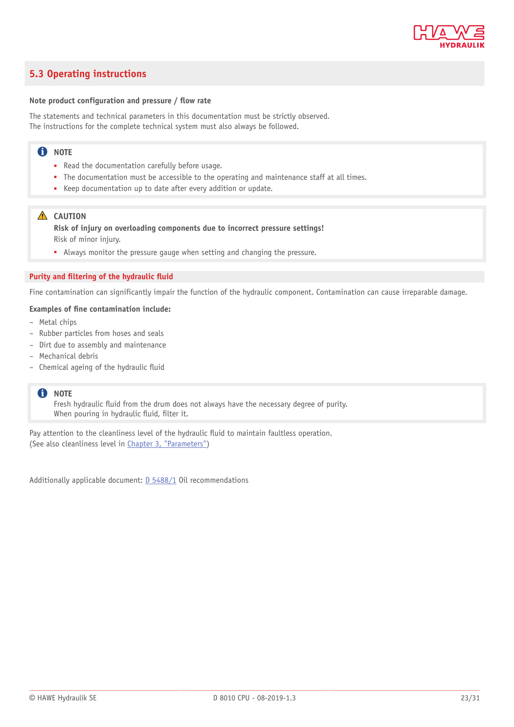

#### <span id="page-22-0"></span>**5.3 Operating instructions**

#### **Note product configuration and pressure / ow rate**

The statements and technical parameters in this documentation must be strictly observed. The instructions for the complete technical system must also always be followed.

#### **f** NOTE

- Read the documentation carefully before usage.
- The documentation must be accessible to the operating and maintenance staff at all times.
- Keep documentation up to date after every addition or update.

#### **A** CAUTION

**Risk of injury on overloading components due to incorrect pressure settings!** Risk of minor injury.

■ Always monitor the pressure gauge when setting and changing the pressure.

#### **Purity and ltering of the hydraulic uid**

Fine contamination can significantly impair the function of the hydraulic component. Contamination can cause irreparable damage.

#### **Examples of ne contamination include:**

- Metal chips
- Rubber particles from hoses and seals
- Dirt due to assembly and maintenance
- Mechanical debris
- $-$  Chemical ageing of the hydraulic fluid

#### **f** NOTE

Fresh hydraulic fluid from the drum does not always have the necessary degree of purity. When pouring in hydraulic fluid, filter it.

Pay attention to the cleanliness level of the hydraulic fluid to maintain faultless operation. (See also cleanliness level in Chapter 3, ["Parameters"](#page-9-0))

Additionally applicable document: [D 5488/1](http://downloads.hawe.com/5/4/D54881-en.pdf) Oil recommendations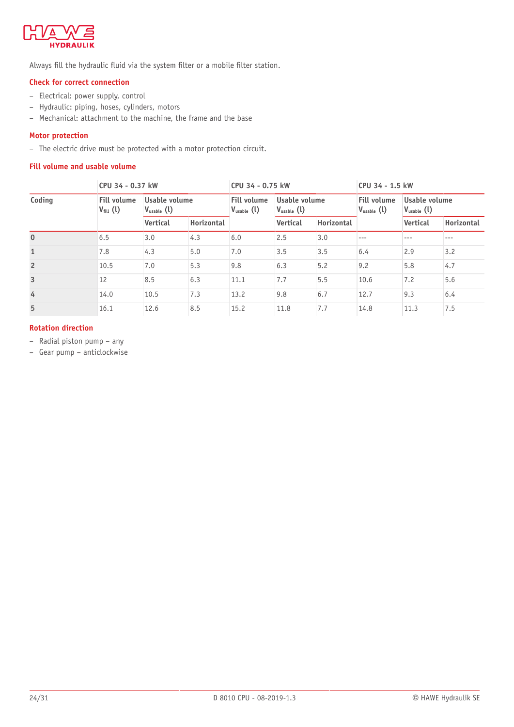

Always fill the hydraulic fluid via the system filter or a mobile filter station.

#### **Check for correct connection**

- Electrical: power supply, control
- Hydraulic: piping, hoses, cylinders, motors
- Mechanical: attachment to the machine, the frame and the base

#### **Motor protection**

– The electric drive must be protected with a motor protection circuit.

#### **Fill volume and usable volume**

|                | CPU 34 - 0.37 kW                           |                                         | CPU 34 - 0.75 kW |                                              |                                         | CPU 34 - 1.5 kW |                                              |                                         |            |
|----------------|--------------------------------------------|-----------------------------------------|------------------|----------------------------------------------|-----------------------------------------|-----------------|----------------------------------------------|-----------------------------------------|------------|
| Coding         | <b>Fill volume</b><br>$V_{\text{fill}}(l)$ | Usable volume<br>$V_{\text{usable}}(l)$ |                  | <b>Fill volume</b><br>$V_{\text{usable}}(l)$ | Usable volume<br>$V_{\text{usable}}(l)$ |                 | <b>Fill volume</b><br>$V_{\text{usable}}(l)$ | Usable volume<br>$V_{\text{usable}}(l)$ |            |
|                |                                            | <b>Vertical</b>                         | Horizontal       |                                              | <b>Vertical</b>                         | Horizontal      |                                              | <b>Vertical</b>                         | Horizontal |
| $\mathbf 0$    | 6.5                                        | 3.0                                     | 4.3              | 6.0                                          | 2.5                                     | 3.0             | $---$                                        | $---$                                   | ---        |
| $\mathbf{1}$   | 7.8                                        | 4.3                                     | 5.0              | 7.0                                          | 3.5                                     | 3.5             | 6.4                                          | 2.9                                     | 3.2        |
| $\overline{2}$ | 10.5                                       | 7.0                                     | 5.3              | 9.8                                          | 6.3                                     | 5.2             | 9.2                                          | 5.8                                     | 4.7        |
| $\overline{3}$ | 12                                         | 8.5                                     | 6.3              | 11.1                                         | 7.7                                     | 5.5             | 10.6                                         | 7.2                                     | 5.6        |
| $\overline{4}$ | 14.0                                       | 10.5                                    | 7.3              | 13.2                                         | 9.8                                     | 6.7             | 12.7                                         | 9.3                                     | 6.4        |
| 5              | 16.1                                       | 12.6                                    | 8.5              | 15.2                                         | 11.8                                    | 7.7             | 14.8                                         | 11.3                                    | 7.5        |

#### **Rotation direction**

– Radial piston pump – any

– Gear pump – anticlockwise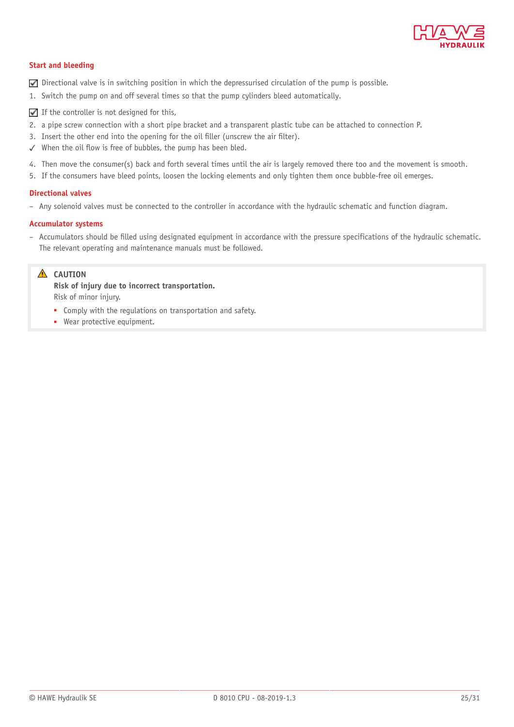

#### **Start and bleeding**

- $\nabla$  Directional valve is in switching position in which the depressurised circulation of the pump is possible.
- 1. Switch the pump on and off several times so that the pump cylinders bleed automatically.
- $\blacksquare$  If the controller is not designed for this,
- 2. a pipe screw connection with a short pipe bracket and a transparent plastic tube can be attached to connection P.
- 3. Insert the other end into the opening for the oil filler (unscrew the air filter).
- $\checkmark$  When the oil flow is free of bubbles, the pump has been bled.
- 4. Then move the consumer(s) back and forth several times until the air is largely removed there too and the movement is smooth.
- 5. If the consumers have bleed points, loosen the locking elements and only tighten them once bubble-free oil emerges.

#### **Directional valves**

– Any solenoid valves must be connected to the controller in accordance with the hydraulic schematic and function diagram.

#### **Accumulator systems**

– Accumulators should be lled using designated equipment in accordance with the pressure specifications of the hydraulic schematic. The relevant operating and maintenance manuals must be followed.

#### **A** CAUTION

**Risk of injury due to incorrect transportation.** Risk of minor injury.

- Comply with the regulations on transportation and safety.
- Wear protective equipment.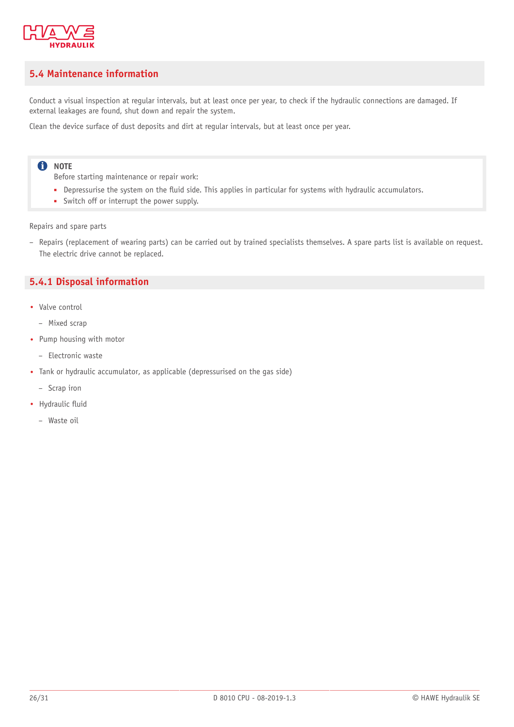

#### <span id="page-25-0"></span>**5.4 Maintenance information**

Conduct a visual inspection at regular intervals, but at least once per year, to check if the hydraulic connections are damaged. If external leakages are found, shut down and repair the system.

Clean the device surface of dust deposits and dirt at regular intervals, but at least once per year.

#### **O** NOTE

Before starting maintenance or repair work:

- Depressurise the system on the fluid side. This applies in particular for systems with hydraulic accumulators.
- Switch off or interrupt the power supply.

Repairs and spare parts

– Repairs (replacement of wearing parts) can be carried out by trained specialists themselves. A spare parts list is available on request. The electric drive cannot be replaced.

#### <span id="page-25-1"></span>**5.4.1 Disposal information**

- Valve control
	- Mixed scrap
- Pump housing with motor
	- Electronic waste
- Tank or hydraulic accumulator, as applicable (depressurised on the gas side)
	- Scrap iron
- Hydraulic fluid
	- Waste oil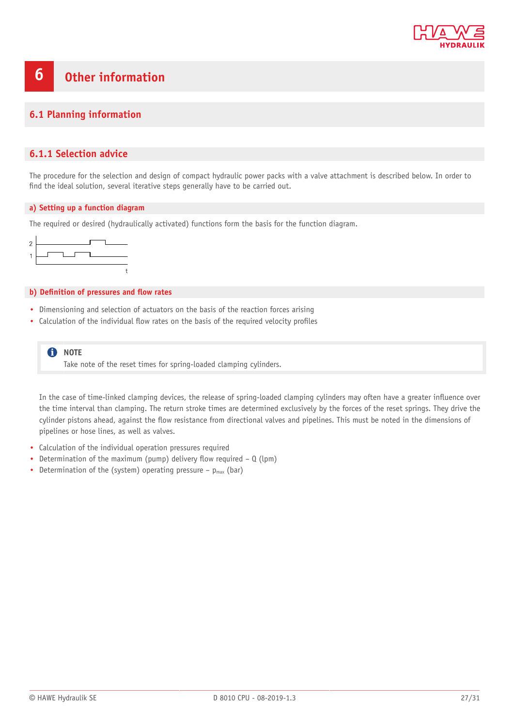

#### <span id="page-26-0"></span>**6 Other information**

#### <span id="page-26-1"></span>**6.1 Planning information**

#### <span id="page-26-2"></span>**6.1.1 Selection advice**

The procedure for the selection and design of compact hydraulic power packs with a valve attachment is described below. In order to find the ideal solution, several iterative steps generally have to be carried out.

#### **a) Setting up a function diagram**

The required or desired (hydraulically activated) functions form the basis for the function diagram.



#### **b)** Definition of pressures and flow rates

- Dimensioning and selection of actuators on the basis of the reaction forces arising
- Calculation of the individual flow rates on the basis of the required velocity profiles

**f** NOTE Take note of the reset times for spring-loaded clamping cylinders.

In the case of time-linked clamping devices, the release of spring-loaded clamping cylinders may often have a greater influence over the time interval than clamping. The return stroke times are determined exclusively by the forces of the reset springs. They drive the cylinder pistons ahead, against the flow resistance from directional valves and pipelines. This must be noted in the dimensions of pipelines or hose lines, as well as valves.

- Calculation of the individual operation pressures required
- Determination of the maximum (pump) delivery flow required  $Q$  (lpm)
- Determination of the (system) operating pressure  $-p_{max}$  (bar)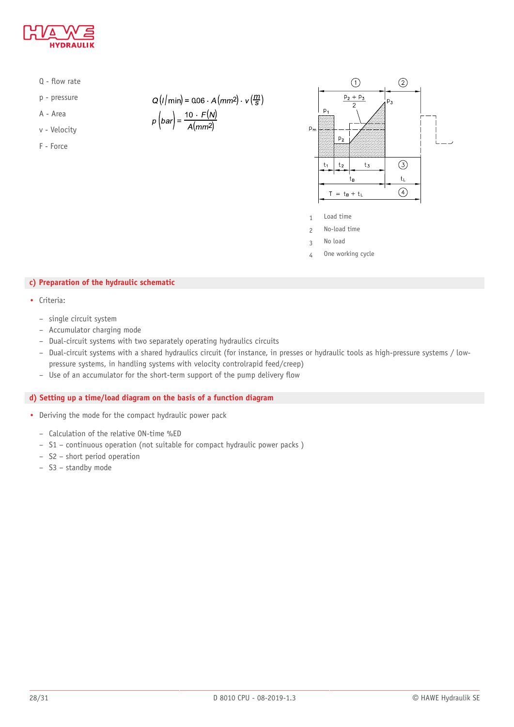

- $Q$  flow rate
- p pressure
- A Area
- v Velocity
- F Force

 $Q(l/min) = 0.06 \cdot A(mm2) \cdot v(\frac{m}{s})$ 

$$
p\left(bar\right) = \frac{10 \cdot F(N)}{A(mm^2)}
$$



- 1 Load time
- 2 No-load time
- 3 No load
- 4 One working cycle

#### **c) Preparation of the hydraulic schematic**

- Criteria:
	- single circuit system
	- Accumulator charging mode
	- Dual-circuit systems with two separately operating hydraulics circuits
	- Dual-circuit systems with a shared hydraulics circuit (for instance, in presses or hydraulic tools as high-pressure systems / lowpressure systems, in handling systems with velocity controlrapid feed/creep)
	- $-$  Use of an accumulator for the short-term support of the pump delivery flow

#### **d) Setting up a time/load diagram on the basis of a function diagram**

- Deriving the mode for the compact hydraulic power pack
	- Calculation of the relative ON-time %ED
	- S1 continuous operation (not suitable for compact hydraulic power packs )
	- S2 short period operation
	- S3 standby mode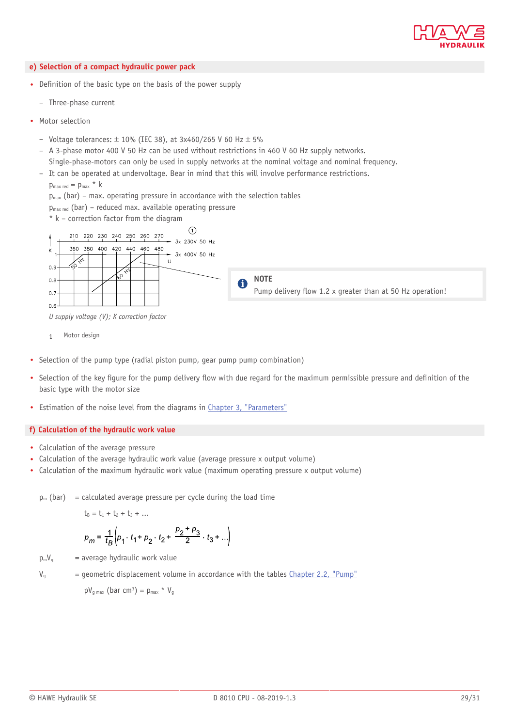

#### **e) Selection of a compact hydraulic power pack**

- Definition of the basic type on the basis of the power supply
	- Three-phase current
- Motor selection
	- Voltage tolerances:  $\pm$  10% (IEC 38), at 3x460/265 V 60 Hz  $\pm$  5%
	- A 3-phase motor 400 V 50 Hz can be used without restrictions in 460 V 60 Hz supply networks. Single-phase-motors can only be used in supply networks at the nominal voltage and nominal frequency.
	- It can be operated at undervoltage. Bear in mind that this will involve performance restrictions.
		- $p_{\text{max red}} = p_{\text{max}} * k$
		- $p_{max}$  (bar) max. operating pressure in accordance with the selection tables
		- $p_{max red}$  (bar) reduced max. available operating pressure
		- \* k correction factor from the diagram



*U supply voltage (V); K correction factor*

- 1 Motor design
- Selection of the pump type (radial piston pump, gear pump pump combination)
- Selection of the key figure for the pump delivery flow with due regard for the maximum permissible pressure and definition of the basic type with the motor size
- Estimation of the noise level from the diagrams in Chapter 3, ["Parameters"](#page-9-0)

#### **f) Calculation of the hydraulic work value**

- Calculation of the average pressure
- Calculation of the average hydraulic work value (average pressure x output volume)
- Calculation of the maximum hydraulic work value (maximum operating pressure x output volume)

 $p_m$  (bar) = calculated average pressure per cycle during the load time

 $t_B = t_1 + t_2 + t_3 + ...$ 

$$
p_m = \frac{1}{t_B} \left( p_1 \cdot t_1 + p_2 \cdot t_2 + \frac{p_2 + p_3}{2} \cdot t_3 + \ldots \right)
$$

 $p_mV_g$  = average hydraulic work value

 $V_{g}$  = geometric displacement volume in accordance with the tables [Chapter 2.2, "Pump"](#page-6-0)

 $pV_{g \text{max}}$  (bar cm<sup>3</sup>) =  $p_{\text{max}}$  \*  $V_{g}$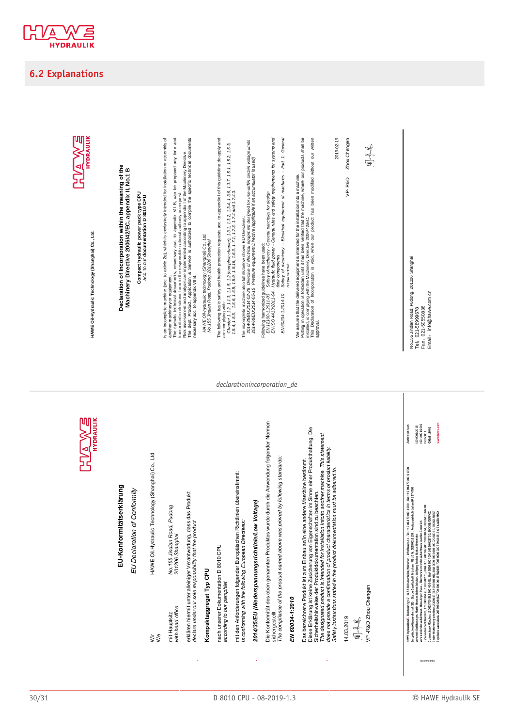

#### <span id="page-29-0"></span>**6.2 Explanations**

**HVAWE** 

| UI |  |
|----|--|
|    |  |
|    |  |
|    |  |

HAWE Oil-Hydraulic Technology (Shanghai) Co., Ltd. **HAWE Oil Hydraulic Technology (Shanghai) Co., Ltd.**

# **EU-Konformitätserklärung**  EU-Konformitätserklärung

*EU Declaration of Conformity*  EU Declaration of Conformity

Wir HAWE Oil.Hydraulic Technology (Shanghai) Co., Ltd. We HAWE Oil. Hydraulic Technology (Shanghai) Co., Ltd. ≹<br>≷

No. 155 Jindian Road, Pudong<br>201206 Shanghai mit Hauptsitz *No.155 Jindian Road, Pudong with head office 201206 Shanghai* with head office mit Hauptsitz

erklären hiermit unter alleiniger Verantwortung, dass das Produkt erklären hiermit unter alleiniger Verantwortung, dass das Produkt<br>*declare under our sole responsibility that the product declare under our sole responsibility that the product* 

# Kompaktaggregat Typ CPU **Kompaktaggregat Typ CPU**

nach unserer Dokumentation D 8010 CPU nach unserer Dokumentation D 8010 CPU according to our pamphlet *according to our pamphlet* 

mit den Anforderungen folgender Europäischen Richtlinien übereinstimmt: mit den Anforderungen folgender Europäischen Richtlinien übereinstimmt: *is conforming with the following European Directives:*  is conforming with the following European Directives:

# *2014/35/EU (Niederspannungsrichtlinie/Low Voltage)*  2014/35/EU (Niederspannungsrichtlinie/Low Voltage)

Die Konformität des oben genannten Produktes wurde durch die Anwendung folgender Normen Die Konformität des oben genannten Produktes wurde durch die Anwendung folgender Normen *The compliance of the product named above was proved by following standards:*  The compliance of the product named above was proved by following standards: sichergestellt: sichergestellt:

# EN 60034-1:2010 *EN 60034-1:2010*

Diese Erklärung ist keine Zusicherung von Eigenschaften im Sinne einer Produkthaftung. Die Diese Erklärung ist keine Zusicherung von Eigenschaften im Sinne einer Produkthaftung. Die The designated product is intended for installation into/to another machine. This statement<br>does not provide a confirmation of product characteristics in terms of product liability. *The designated product is intended for installation into/to another machine. This statement does not provide a confirmation of product characteristics in terms of product liability.*  Das bezeichnete Produkt ist zum Einbau an/in eine andere Maschine bestimmt. Das bezeichnete Produkt ist zum Einbau an/in eine andere Maschine bestimmt Safety instructions stated in the product dokumentation must be adhered to. *Safety instructions stated in the product dokumentation must be adhered to.* Sicherheitshinweise der Produktdokumentation sind zu beachten. Sicherheitshinweise der Produktdokumentation sind zu beachten.

14.03.2019

周平見

/P-R&D Zhou Chengen VP -R&D Zhou Chengen

HAWE Hydraulik SE Einsteinring 17 D-85609 Aschheim/München info@hawe.de Tel. +49 89 379100-1000 Fax +49 89 379100-91000 Zertifiziert nach Vorsitzender des Aufsichtsrats: Hans-Jürgen Thaus • Ehrenvorsitzender des Aufsichtsrats: Joachim Gommlich ISO 14001:2015 Vorstand: Karl Haeusgen, Martin Heusser, Robert Schullan, Wolfgang Sochor, Markus Unterstein ISO 9001:2015 Commerzbank München, 150623700 (BLZ 700 400 41), IBAN DE56 7004 0041 0150 6237 00, BIC COBADEFFXXX OHSAS 18001 Hypo-Vereinsbank München, 1780008454 (BLZ 700 202 70), IBAN DE53 7002 0270 1780 0084 54, BIC HYVEDEMMXXX ISO 50001 WANCEpigaulia SE. Elmselaring († 1. 045690 kozhelan/Milanten : infolhame.de , 1ei. - 1893375100-1000 . Fax -1893378100-3000<br>Vorstar Azi Hanegen, Marii Hesse at Anarchalana IV Migrary Schot, Maria Ustensis 19. - infoltagent Europäische Aktiengesellschaft (SE) Sitz der Gesellschaft: München USt ID Nr: DE180016108 Registergericht München HRB 174760

Baden-Württembergische Bank, 2368049 (BLZ 600 501 01), IBAN DE90 6005 0101 0002 3680 49, BIC SOLADEST

Bayerische Landesbank, 203693428 (BLZ 700 500 00), IBAN DE86 7005 0000 0203 6934 28, BIC BYLADEMMXXX **www.hawe.com**

is an incomplete machine (acc. to article 2g), which is exclusively intended for installation or assembly of<br>anothermachiney or equipments, necessary acc. to appendix VII B, can be prepared any time and<br>transmitted in elec is an incomplete machine (acc. to article 2g), which is exclusively intended for installation or assembly of The specific technical documents, necessary acc. to appendix VII B, can be prepared any time and Declaration of Incorporation within the meaning of the<br>Machinery Directive 2006/42/EC, appendix II, No.1 B **Declaration of Incorporation within the meaning of the Machinery Directive 2006/42/EC, appendix II, No.1 B** Compact hydraulic power pack type CPU<br>acc. to our documentation D 8010 CPU transmitted in electronic form to the responsible national authority on request. **Compact hydraulic power pack type CPU** acc. to our **documentation D 8010 CPU**  another machinery or equipment

HAWE Oil-hydraulic technology (Shanghai) Co., Ltd.<br>No.155 Jindian Road, Pudong, 201206 Shanghai *HAWE Oil ydraulic technology (Shanghai) Co., Ltd. No.155 Jindian Road, Pudong, 201206 Shanghai* 

necessary acc. to appendix VII B.

Risk assessment and analysis are implemented according to appendix I of the Machinery Directive . The dept. Product, Application & Service is authorized to compile the specific technical documents The following basic safety and health protection requests acc. to appendix I of this guideline do apply and The following basic safety and health protection requests acc. to appendix I of this guideline do apply and are complying with:

are compying with:<br>1.54, 1.65, 1.65, 1.1.5, 12 (complete chapter), 1.3, 1.32, 1.34, 1.36, 1.37, 1.5.1, 1.5.2, 1.5.3,<br>1.54, 1.65, 1.66, 1.68, 1.5.8, 1.5.1, 16.3, 17.1, 1.7.3, 1.7.4 and 1.7.4.3. *Chapter 1.1.2, 1.1.3, 1.1.5, 1.2 (complete chapter), 1.3.1, 1.3.2, 1.3.4, 1.3.6, 1.3.7, 1.5.1, 1.5.2, 1.5.3, 1.5.4, 1.5.5, 1.5.6, 1.5.8, 1.5.9, 1.5.16, 1.6.3, 1.7.1, 1.7.3, 1.7.4 and 1.7.4.3.* The incomplete machine also fulfills below shown EU-Directives:<br>2014 SSEU:2014-05-15 Pressure equipment Directive (applicable it an use within certain voltage limits<br>2014/88/EU:2014-05-15 Pressure equipment Directive (appl *2014/35/EU:2014 0 2 2 6 Directive of electrical equipment designed for use within certain voltage limits 2014/68/EU:2014 0 5 1 5 Pressure equipment Directive (applicable if an accumulator is used)* The incomplete machine also fulfills below shown EU-Directives:<br>2014/35/EU:2014-02-26 Directive of electrical equipment des

*declarationincorporation\_de*

Following harmonized guidelines have been used;<br>EN ISO 44:132011-04 hydraulic Mud power - General principles for design<br>EN ISO 44:132011-04 hydraulic Mud power - General rules and safely requirements for systems and *EN ISO 4413:2011 0 4 Hydraulic fluid power General rules and safety requirements for systems and EN 12100 1:2011 03 Safety of machinery General principles for design* Following harmonized guidelines have been used:

their components<br>Saflety of machinery - Electrical equipment of machines - Part 1: General<br>Saflety of machinery *EN 60204 1:2014 10 Safety of machinery Electrical equipment of machines Part 1: General their components*  EN 60204-1:2014-10

We assume that the delivered equipment is intended for the installation into a machine. Putting in operation is forbidden until it has been verified that the machine, where our products shall be

installed, is complying with the Machinery Directive 2006/42/EC. This Declaration of Incorporation is void, when our product has been modified without our written We assume that the delivered equipment is intended for the installation into a machine.<br>Installed, is coerablon is with below until it that we were verified the machine, where our products shall be<br>This Declaration of Inco 2019-02-19

VP-R&D Zhou Chengen Zhou Chengen VP-R&D

 $H^2$ 

No.155 Jindian Road, Pudong, 201206 Shanghai<br>Tel: 021-58999678 No.155 Jindian Road, Pudong, 201206 Shanghai Email: info@hawe.com.cn Email: info@hawe.com.cn Fax: 021-50550836 Fax: 021-50550836<br>Festival infrastrum Tel: 021-58999678<br>Fel: 021 Ferrence

> |S0 90012015<br>|S0 140012015<br>|S0 50001<br>0HSAS 18001 www.hawe.com

Zertifiziert nach